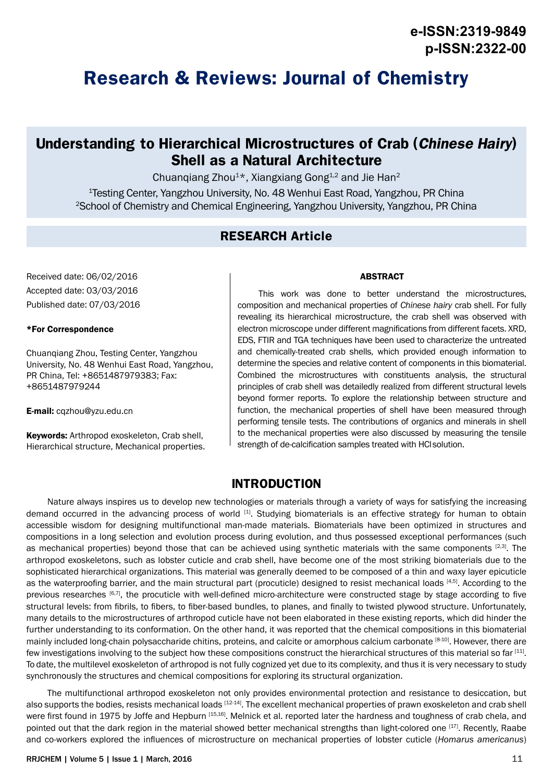# **Research & Reviews: Journal of Chemistry**

## **Understanding to Hierarchical Microstructures of Crab (Chinese Hairy) Shell as a Natural Architecture**

Chuanqiang Zhou<sup>1\*</sup>, Xiangxiang Gong<sup>1,2</sup> and Jie Han<sup>2</sup>

1 Testing Center, Yangzhou University, No. 48 Wenhui East Road, Yangzhou, PR China 2 School of Chemistry and Chemical Engineering, Yangzhou University, Yangzhou, PR China

## **RESEARCH Article**

Received date: 06/02/2016 Accepted date: 03/03/2016 Published date: 07/03/2016

#### \*For Correspondence

Chuanqiang Zhou, Testing Center, Yangzhou University, No. 48 Wenhui East Road, Yangzhou, PR China, Tel: +8651487979383; Fax: +8651487979244

E-mail: cqzhou@yzu.edu.cn

Keywords: Arthropod exoskeleton, Crab shell, Hierarchical structure, Mechanical properties.

#### ABSTRACT

This work was done to better understand the microstructures, composition and mechanical properties of *Chinese hairy* crab shell. For fully revealing its hierarchical microstructure, the crab shell was observed with electron microscope under different magnifications from different facets. XRD, EDS, FTIR and TGA techniques have been used to characterize the untreated and chemically-treated crab shells, which provided enough information to determine the species and relative content of components in this biomaterial. Combined the microstructures with constituents analysis, the structural principles of crab shell was detailedly realized from different structural levels beyond former reports. To explore the relationship between structure and function, the mechanical properties of shell have been measured through performing tensile tests. The contributions of organics and minerals in shell to the mechanical properties were also discussed by measuring the tensile strength of de-calcification samples treated with HCl solution.

### **INTRODUCTION**

Nature always inspires us to develop new technologies or materials through a variety of ways for satisfying the increasing demand occurred in the advancing process of world  $[1]$ . Studying biomaterials is an effective strategy for human to obtain accessible wisdom for designing multifunctional man-made materials. Biomaterials have been optimized in structures and compositions in a long selection and evolution process during evolution, and thus possessed exceptional performances (such as mechanical properties) beyond those that can be achieved using synthetic materials with the same components [2,3]. The arthropod exoskeletons, such as lobster cuticle and crab shell, have become one of the most striking biomaterials due to the sophisticated hierarchical organizations. This material was generally deemed to be composed of a thin and waxy layer epicuticle as the waterproofing barrier, and the main structural part (procuticle) designed to resist mechanical loads [4,5]. According to the previous researches [6,7], the procuticle with well-defined micro-architecture were constructed stage by stage according to five structural levels: from fibrils, to fibers, to fiber-based bundles, to planes, and finally to twisted plywood structure. Unfortunately, many details to the microstructures of arthropod cuticle have not been elaborated in these existing reports, which did hinder the further understanding to its conformation. On the other hand, it was reported that the chemical compositions in this biomaterial mainly included long-chain polysaccharide chitins, proteins, and calcite or amorphous calcium carbonate [8-10]. However, there are few investigations involving to the subject how these compositions construct the hierarchical structures of this material so far [11]. To date, the multilevel exoskeleton of arthropod is not fully cognized yet due to its complexity, and thus it is very necessary to study synchronously the structures and chemical compositions for exploring its structural organization.

The multifunctional arthropod exoskeleton not only provides environmental protection and resistance to desiccation, but also supports the bodies, resists mechanical loads  $[12-14]$ . The excellent mechanical properties of prawn exoskeleton and crab shell were first found in 1975 by Joffe and Hepburn [15,16]. Melnick et al. reported later the hardness and toughness of crab chela, and pointed out that the dark region in the material showed better mechanical strengths than light-colored one [17]. Recently, Raabe and co-workers explored the influences of microstructure on mechanical properties of lobster cuticle (*Homarus americanus*)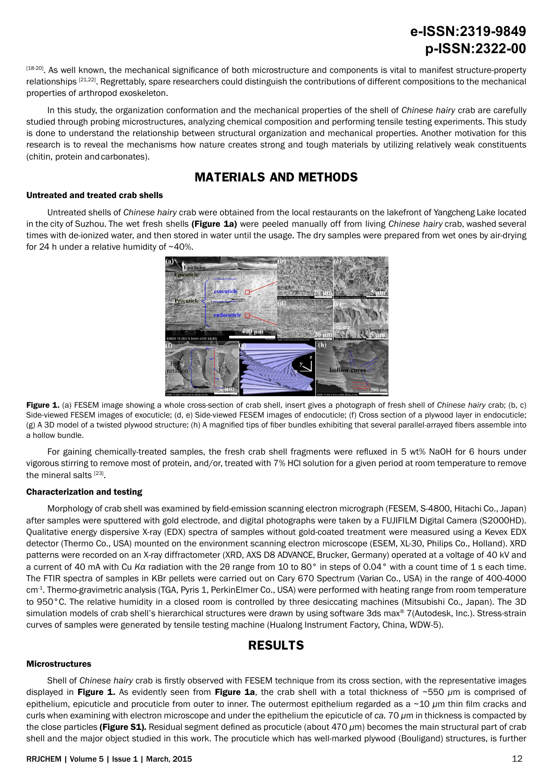[18-20]. As well known, the mechanical significance of both microstructure and components is vital to manifest structure-property relationships [21,22]. Regrettably, spare researchers could distinguish the contributions of different compositions to the mechanical properties of arthropod exoskeleton.

In this study, the organization conformation and the mechanical properties of the shell of *Chinese hairy* crab are carefully studied through probing microstructures, analyzing chemical composition and performing tensile testing experiments. This study is done to understand the relationship between structural organization and mechanical properties. Another motivation for this research is to reveal the mechanisms how nature creates strong and tough materials by utilizing relatively weak constituents (chitin, protein and carbonates).

## **MATERIALS AND METHODS**

#### Untreated and treated crab shells

Untreated shells of *Chinese hairy* crab were obtained from the local restaurants on the lakefront of Yangcheng Lake located in the city of Suzhou. The wet fresh shells (Figure 1a) were peeled manually off from living *Chinese hairy* crab, washed several times with de-ionized water, and then stored in water until the usage. The dry samples were prepared from wet ones by air-drying for 24 h under a relative humidity of ~40%.



Figure 1. (a) FESEM image showing a whole cross-section of crab shell, insert gives a photograph of fresh shell of *Chinese hairy* crab; (b, c) Side-viewed FESEM images of exocuticle; (d, e) Side-viewed FESEM images of endocuticle; (f) Cross section of a plywood layer in endocuticle; (g) A 3D model of a twisted plywood structure; (h) A magnified tips of fiber bundles exhibiting that several parallel-arrayed fibers assemble into a hollow bundle.

For gaining chemically-treated samples, the fresh crab shell fragments were refluxed in 5 wt% NaOH for 6 hours under vigorous stirring to remove most of protein, and/or, treated with 7% HCl solution for a given period at room temperature to remove the mineral salts [23].

#### Characterization and testing

Morphology of crab shell was examined by field-emission scanning electron micrograph (FESEM, S-4800, Hitachi Co., Japan) after samples were sputtered with gold electrode, and digital photographs were taken by a FUJIFILM Digital Camera (S2000HD). Qualitative energy dispersive X-ray (EDX) spectra of samples without gold-coated treatment were measured using a Kevex EDX detector (Thermo Co., USA) mounted on the environment scanning electron microscope (ESEM, XL-30, Philips Co., Holland). XRD patterns were recorded on an X-ray diffractometer (XRD, AXS D8 ADVANCE, Brucker, Germany) operated at a voltage of 40 kV and a current of 40 mA with Cu *Kα* radiation with the 2θ range from 10 to 80° in steps of 0.04° with a count time of 1 s each time. The FTIR spectra of samples in KBr pellets were carried out on Cary 670 Spectrum (Varian Co., USA) in the range of 400-4000 cm<sup>-1</sup>. Thermo-gravimetric analysis (TGA, Pyris 1, PerkinElmer Co., USA) were performed with heating range from room temperature to 950°C. The relative humidity in a closed room is controlled by three desiccating machines (Mitsubishi Co., Japan). The 3D simulation models of crab shell's hierarchical structures were drawn by using software 3ds max® 7(Autodesk, Inc.). Stress-strain curves of samples were generated by tensile testing machine (Hualong Instrument Factory, China, WDW-5).

### **RESULTS**

#### Microstructures

Shell of *Chinese hairy* crab is firstly observed with FESEM technique from its cross section, with the representative images displayed in Figure 1. As evidently seen from Figure 1a, the crab shell with a total thickness of ~550 *μ*m is comprised of epithelium, epicuticle and procuticle from outer to inner. The outermost epithelium regarded as a ~10 *μ*m thin film cracks and curls when examining with electron microscope and under the epithelium the epicuticle of *ca.* 70 *μ*m in thickness is compacted by the close particles (Figure S1). Residual segment defined as procuticle (about 470 *μ*m) becomes the main structural part of crab shell and the major object studied in this work. The procuticle which has well-marked plywood (Bouligand) structures, is further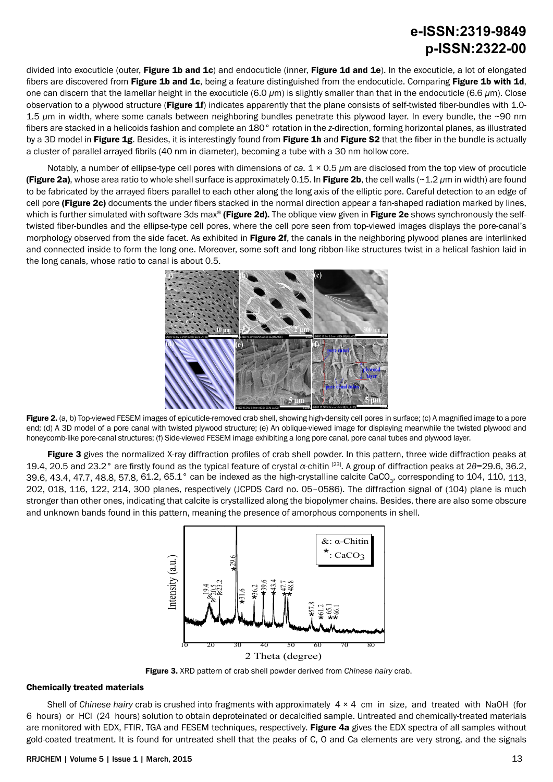divided into exocuticle (outer, Figure 1b and  $1c$ ) and endocuticle (inner, Figure 1d and  $1e$ ). In the exocuticle, a lot of elongated fibers are discovered from Figure 1b and 1c, being a feature distinguished from the endocuticle. Comparing Figure 1b with 1d, one can discern that the lamellar height in the exocuticle (6.0 *μ*m) is slightly smaller than that in the endocuticle (6.6 *μ*m). Close observation to a plywood structure (Figure 1f) indicates apparently that the plane consists of self-twisted fiber-bundles with 1.0-1.5 μm in width, where some canals between neighboring bundles penetrate this plywood layer. In every bundle, the ~90 nm fibers are stacked in a helicoids fashion and complete an 180° rotation in the *z*-direction, forming horizontal planes, as illustrated by a 3D model in Figure 1g. Besides, it is interestingly found from Figure 1h and Figure S2 that the fiber in the bundle is actually a cluster of parallel-arrayed fibrils (40 nm in diameter), becoming a tube with a 30 nm hollow core.

Notably, a number of ellipse-type cell pores with dimensions of *ca.* 1 × 0.5 *μ*m are disclosed from the top view of procuticle (Figure 2a), whose area ratio to whole shell surface is approximately 0.15. In Figure 2b, the cell walls (~1.2 *μ*m in width) are found to be fabricated by the arrayed fibers parallel to each other along the long axis of the elliptic pore. Careful detection to an edge of cell pore (Figure 2c) documents the under fibers stacked in the normal direction appear a fan-shaped radiation marked by lines, which is further simulated with software 3ds max® (Figure 2d). The oblique view given in Figure 2e shows synchronously the selftwisted fiber-bundles and the ellipse-type cell pores, where the cell pore seen from top-viewed images displays the pore-canal's morphology observed from the side facet. As exhibited in Figure 2f, the canals in the neighboring plywood planes are interlinked and connected inside to form the long one. Moreover, some soft and long ribbon-like structures twist in a helical fashion laid in the long canals, whose ratio to canal is about 0.5.



Figure 2. (a, b) Top-viewed FESEM images of epicuticle-removed crab shell, showing high-density cell pores in surface; (c) A magnified image to a pore end; (d) A 3D model of a pore canal with twisted plywood structure; (e) An oblique-viewed image for displaying meanwhile the twisted plywood and honeycomb-like pore-canal structures; (f) Side-viewed FESEM image exhibiting a long pore canal, pore canal tubes and plywood layer.

Figure 3 gives the normalized X-ray diffraction profiles of crab shell powder. In this pattern, three wide diffraction peaks at 19.4, 20.5 and 23.2° are firstly found as the typical feature of crystal *α*-chitin [23]. A group of diffraction peaks at 2*θ*=29.6, 36.2, 39.6, 43.4, 47.7, 48.8, 57.8, 61.2, 65.1° can be indexed as the high-crystalline calcite CaCO<sub>3</sub>, corresponding to 104, 110, 113, 202, 018, 116, 122, 214, 300 planes, respectively (JCPDS Card no. 05–0586). The diffraction signal of (104) plane is much stronger than other ones, indicating that calcite is crystallized along the biopolymer chains. Besides, there are also some obscure and unknown bands found in this pattern, meaning the presence of amorphous components in shell.



Figure 3. XRD pattern of crab shell powder derived from *Chinese hairy* crab.

#### Chemically treated materials

Shell of *Chinese hairy* crab is crushed into fragments with approximately 4 × 4 cm in size, and treated with NaOH (for 6 hours) or HCl (24 hours) solution to obtain deproteinated or decalcified sample. Untreated and chemically-treated materials are monitored with EDX, FTIR, TGA and FESEM techniques, respectively. Figure 4a gives the EDX spectra of all samples without gold-coated treatment. It is found for untreated shell that the peaks of C, O and Ca elements are very strong, and the signals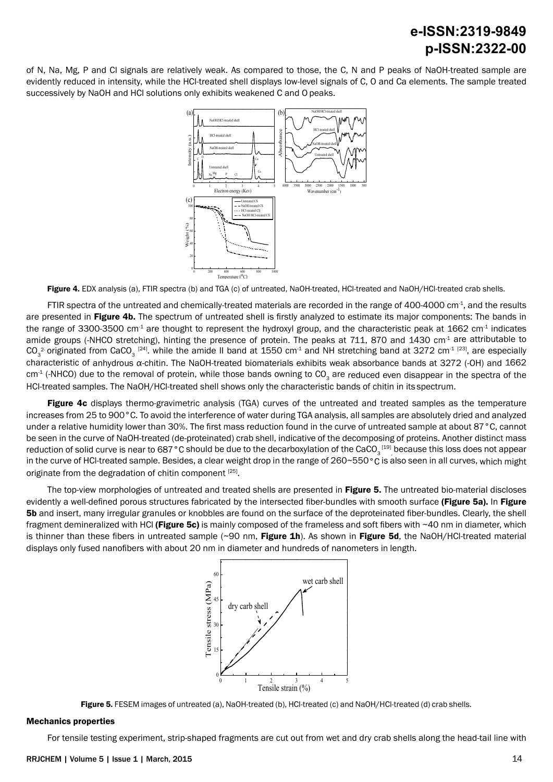of N, Na, Mg, P and Cl signals are relatively weak. As compared to those, the C, N and P peaks of NaOH-treated sample are evidently reduced in intensity, while the HCl-treated shell displays low-level signals of C, O and Ca elements. The sample treated successively by NaOH and HCl solutions only exhibits weakened C and O peaks.



Figure 4. EDX analysis (a), FTIR spectra (b) and TGA (c) of untreated, NaOH-treated, HCl-treated and NaOH/HCl-treated crab shells.

FTIR spectra of the untreated and chemically-treated materials are recorded in the range of 400-4000 cm $4$ , and the results are presented in Figure 4b. The spectrum of untreated shell is firstly analyzed to estimate its major components: The bands in the range of 3300-3500 cm<sup>-1</sup> are thought to represent the hydroxyl group, and the characteristic peak at 1662 cm<sup>-1</sup> indicates amide groups (-NHCO stretching), hinting the presence of protein. The peaks at 711, 870 and 1430 cm<sup>-1</sup> are attributable to  $CO_3^2$  originated from CaCO<sub>3</sub><sup>[24]</sup>. while the amide II band at 1550 cm<sup>-1</sup> and NH stretching band at 3272 cm<sup>-1 [23]</sup>, are especially characteristic of anhydrous *α*-chitin. The NaOH-treated biomaterials exhibits weak absorbance bands at 3272 (-OH) and 1662  $cm<sup>1</sup>$  (-NHCO) due to the removal of protein, while those bands owning to CO<sub>2</sub> are reduced even disappear in the spectra of the HCl-treated samples. The NaOH/HCl-treated shell shows only the characteristic bands of chitin in its spectrum.

**Figure 4c** displays thermo-gravimetric analysis (TGA) curves of the untreated and treated samples as the temperature increases from 25 to 900°C. To avoid the interference of water during TGA analysis, all samples are absolutely dried and analyzed under a relative humidity lower than 30%. The first mass reduction found in the curve of untreated sample at about 87°C, cannot be seen in the curve of NaOH-treated (de-proteinated) crab shell, indicative of the decomposing of proteins. Another distinct mass reduction of solid curve is near to 687 °C should be due to the decarboxylation of the CaCO $_3^{\rm [19]}$  because this loss does not appear in the curve of HCI-treated sample. Besides, a clear weight drop in the range of 260~550°C is also seen in all curves, which might originate from the degradation of chitin component [25].

The top-view morphologies of untreated and treated shells are presented in Figure 5. The untreated bio-material discloses evidently a well-defined porous structures fabricated by the intersected fiber-bundles with smooth surface (Figure 5a). In Figure 5b and insert, many irregular granules or knobbles are found on the surface of the deproteinated fiber-bundles. Clearly, the shell fragment demineralized with HCl (Figure 5c) is mainly composed of the frameless and soft fibers with  $\sim$ 40 nm in diameter, which is thinner than these fibers in untreated sample  $(\sim 90 \text{ nm}, \text{Figure 1h})$ . As shown in Figure 5d, the NaOH/HCl-treated material displays only fused nanofibers with about 20 nm in diameter and hundreds of nanometers in length.



Figure 5. FESEM images of untreated (a), NaOH-treated (b), HCl-treated (c) and NaOH/HCl-treated (d) crab shells.

#### Mechanics properties

For tensile testing experiment, strip-shaped fragments are cut out from wet and dry crab shells along the head-tail line with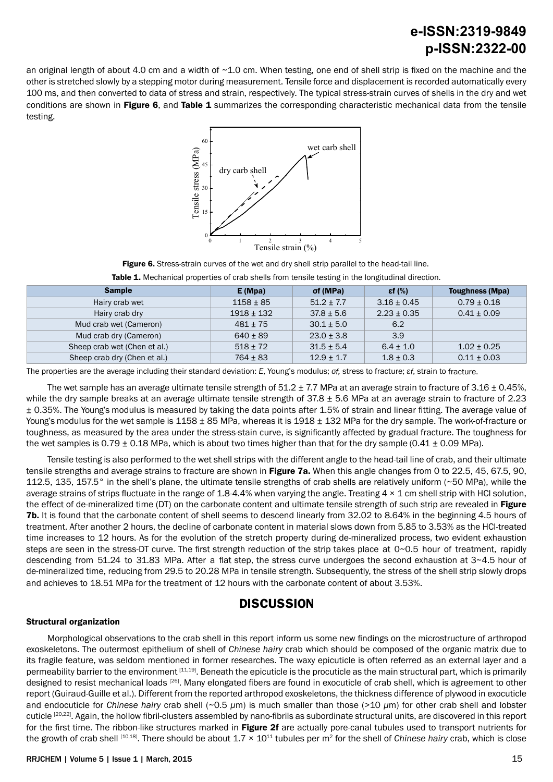an original length of about 4.0 cm and a width of  $\sim$ 1.0 cm. When testing, one end of shell strip is fixed on the machine and the other is stretched slowly by a stepping motor during measurement. Tensile force and displacement is recorded automatically every 100 ms, and then converted to data of stress and strain, respectively. The typical stress-strain curves of shells in the dry and wet conditions are shown in Figure 6, and Table 1 summarizes the corresponding characteristic mechanical data from the tensile testing.



Figure 6. Stress-strain curves of the wet and dry shell strip parallel to the head-tail line.

| <b>Sample</b>                | E (Mpa)       | σf (MPa)       | $\epsilon$ f (%) | <b>Toughness (Mpa)</b> |
|------------------------------|---------------|----------------|------------------|------------------------|
| Hairy crab wet               | $1158 \pm 85$ | $51.2 \pm 7.7$ | $3.16 \pm 0.45$  | $0.79 \pm 0.18$        |
| Hairy crab dry               | $1918 + 132$  | $37.8 + 5.6$   | $2.23 \pm 0.35$  | $0.41 \pm 0.09$        |
| Mud crab wet (Cameron)       | $481 + 75$    | $30.1 + 5.0$   | 6.2              |                        |
| Mud crab dry (Cameron)       | $640 + 89$    | $23.0 \pm 3.8$ | 3.9              |                        |
| Sheep crab wet (Chen et al.) | $518 \pm 72$  | $31.5 \pm 5.4$ | $6.4 \pm 1.0$    | $1.02 \pm 0.25$        |
| Sheep crab dry (Chen et al.) | $764 \pm 83$  | $12.9 \pm 1.7$ | $1.8 \pm 0.3$    | $0.11 \pm 0.03$        |

Table 1. Mechanical properties of crab shells from tensile testing in the longitudinal direction.

The properties are the average including their standard deviation: *E*, Young's modulus; *σf,* stress to fracture; *εf*, strain to fracture.

The wet sample has an average ultimate tensile strength of  $51.2 \pm 7.7$  MPa at an average strain to fracture of  $3.16 \pm 0.45$ %, while the dry sample breaks at an average ultimate tensile strength of  $37.8 \pm 5.6$  MPa at an average strain to fracture of 2.23 ± 0.35%. The Young's modulus is measured by taking the data points after 1.5% of strain and linear fitting. The average value of Young's modulus for the wet sample is  $1158 \pm 85$  MPa, whereas it is  $1918 \pm 132$  MPa for the dry sample. The work-of-fracture or toughness, as measured by the area under the stress-stain curve, is significantly affected by gradual fracture. The toughness for the wet samples is 0.79  $\pm$  0.18 MPa, which is about two times higher than that for the dry sample (0.41  $\pm$  0.09 MPa).

Tensile testing is also performed to the wet shell strips with the different angle to the head-tail line of crab, and their ultimate tensile strengths and average strains to fracture are shown in Figure 7a. When this angle changes from 0 to 22.5, 45, 67.5, 90, 112.5, 135, 157.5° in the shell's plane, the ultimate tensile strengths of crab shells are relatively uniform (~50 MPa), while the average strains of strips fluctuate in the range of 1.8-4.4% when varying the angle. Treating  $4 \times 1$  cm shell strip with HCl solution, the effect of de-mineralized time (DT) on the carbonate content and ultimate tensile strength of such strip are revealed in Figure 7b. It is found that the carbonate content of shell seems to descend linearly from 32.02 to 8.64% in the beginning 4.5 hours of treatment. After another 2 hours, the decline of carbonate content in material slows down from 5.85 to 3.53% as the HCl-treated time increases to 12 hours. As for the evolution of the stretch property during de-mineralized process, two evident exhaustion steps are seen in the stress-DT curve. The first strength reduction of the strip takes place at 0~0.5 hour of treatment, rapidly descending from 51.24 to 31.83 MPa. After a flat step, the stress curve undergoes the second exhaustion at 3~4.5 hour of de-mineralized time, reducing from 29.5 to 20.28 MPa in tensile strength. Subsequently, the stress of the shell strip slowly drops and achieves to 18.51 MPa for the treatment of 12 hours with the carbonate content of about 3.53%.

## **DISCUSSION**

#### Structural organization

Morphological observations to the crab shell in this report inform us some new findings on the microstructure of arthropod exoskeletons. The outermost epithelium of shell of *Chinese hairy* crab which should be composed of the organic matrix due to its fragile feature, was seldom mentioned in former researches. The waxy epicuticle is often referred as an external layer and a permeability barrier to the environment [11,19]. Beneath the epicuticle is the procuticle as the main structural part, which is primarily designed to resist mechanical loads [26]. Many elongated fibers are found in exocuticle of crab shell, which is agreement to other report (Guiraud-Guille et al.). Different from the reported arthropod exoskeletons, the thickness difference of plywood in exocuticle and endocuticle for *Chinese hairy* crab shell (~0.5 *μ*m) is much smaller than those (>10 *μ*m) for other crab shell and lobster cuticle <sup>[20,22]</sup>. Again, the hollow fibril-clusters assembled by nano-fibrils as subordinate structural units, are discovered in this report for the first time. The ribbon-like structures marked in Figure 2f are actually pore-canal tubules used to transport nutrients for the growth of crab shell <sup>[10,18]</sup>. There should be about  $1.7 \times 10^{11}$  tubules per  $m^2$  for the shell of *Chinese hairy* crab, which is close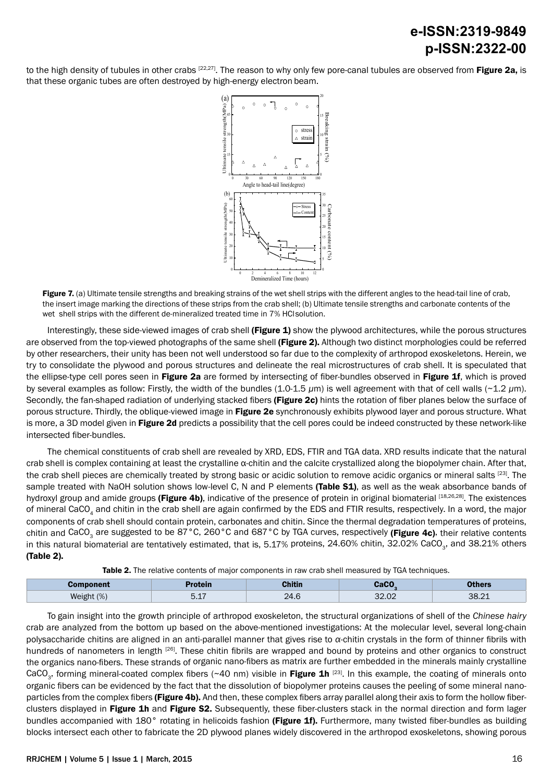to the high density of tubules in other crabs  $[22,27]$ . The reason to why only few pore-canal tubules are observed from **Figure 2a**, is that these organic tubes are often destroyed by high-energy electron beam.



Figure 7. (a) Ultimate tensile strengths and breaking strains of the wet shell strips with the different angles to the head-tail line of crab, the insert image marking the directions of these strips from the crab shell; (b) Ultimate tensile strengths and carbonate contents of the wet shell strips with the different de-mineralized treated time in 7% HCl solution.

Interestingly, these side-viewed images of crab shell (Figure 1) show the plywood architectures, while the porous structures are observed from the top-viewed photographs of the same shell (Figure 2). Although two distinct morphologies could be referred by other researchers, their unity has been not well understood so far due to the complexity of arthropod exoskeletons. Herein, we try to consolidate the plywood and porous structures and delineate the real microstructures of crab shell. It is speculated that the ellipse-type cell pores seen in Figure 2a are formed by intersecting of fiber-bundles observed in Figure 1f, which is proved by several examples as follow: Firstly, the width of the bundles (1.0-1.5 *μ*m) is well agreement with that of cell walls (~1.2 *μ*m). Secondly, the fan-shaped radiation of underlying stacked fibers (Figure 2c) hints the rotation of fiber planes below the surface of porous structure. Thirdly, the oblique-viewed image in Figure 2e synchronously exhibits plywood layer and porous structure. What is more, a 3D model given in Figure 2d predicts a possibility that the cell pores could be indeed constructed by these network-like intersected fiber-bundles.

The chemical constituents of crab shell are revealed by XRD, EDS, FTIR and TGA data. XRD results indicate that the natural crab shell is complex containing at least the crystalline α-chitin and the calcite crystallized along the biopolymer chain. After that, the crab shell pieces are chemically treated by strong basic or acidic solution to remove acidic organics or mineral salts [23]. The sample treated with NaOH solution shows low-level C. N and P elements (Table S1), as well as the weak absorbance bands of hydroxyl group and amide groups (Figure 4b), indicative of the presence of protein in original biomaterial  $^{[18,26,28]}$ . The existences of mineral CaCO<sub>4</sub> and chitin in the crab shell are again confirmed by the EDS and FTIR results, respectively. In a word, the major components of crab shell should contain protein, carbonates and chitin. Since the thermal degradation temperatures of proteins, chitin and CaCO<sub>3</sub> are suggested to be 87°C, 260°C and 687°C by TGA curves, respectively (Figure 4c), their relative contents in this natural biomaterial are tentatively estimated, that is, 5.17% proteins, 24.60% chitin, 32.02% CaCO<sub>3</sub>, and 38.21% others (Table 2).

| Table 2. The relative contents of major components in raw crab shell measured by TGA techniques. |  |  |
|--------------------------------------------------------------------------------------------------|--|--|
|--------------------------------------------------------------------------------------------------|--|--|

|            | rotein                | <b>Chitin</b> | $\sim$         | <b>hers</b> |
|------------|-----------------------|---------------|----------------|-------------|
| Weight (%) | $\rightarrow$<br>J.LI | ົາ<br>∠-⊤.∪   | 2000<br>$\sim$ | 38.21       |

To gain insight into the growth principle of arthropod exoskeleton, the structural organizations of shell of the *Chinese hairy*  crab are analyzed from the bottom up based on the above-mentioned investigations: At the molecular level, several long-chain polysaccharide chitins are aligned in an anti-parallel manner that gives rise to *α*-chitin crystals in the form of thinner fibrils with hundreds of nanometers in length <sup>[26]</sup>. These chitin fibrils are wrapped and bound by proteins and other organics to construct the organics nano-fibers. These strands of organic nano-fibers as matrix are further embedded in the minerals mainly crystalline CaCO<sub>3</sub>, forming mineral-coated complex fibers (~40 nm) visible in Figure 1h<sup>[23]</sup>. In this example, the coating of minerals onto organic fibers can be evidenced by the fact that the dissolution of biopolymer proteins causes the peeling of some mineral nanoparticles from the complex fibers (Figure 4b). And then, these complex fibers array parallel along their axis to form the hollow fiberclusters displayed in Figure 1h and Figure S2. Subsequently, these fiber-clusters stack in the normal direction and form lager bundles accompanied with 180° rotating in helicoids fashion (Figure 1f). Furthermore, many twisted fiber-bundles as building blocks intersect each other to fabricate the 2D plywood planes widely discovered in the arthropod exoskeletons, showing porous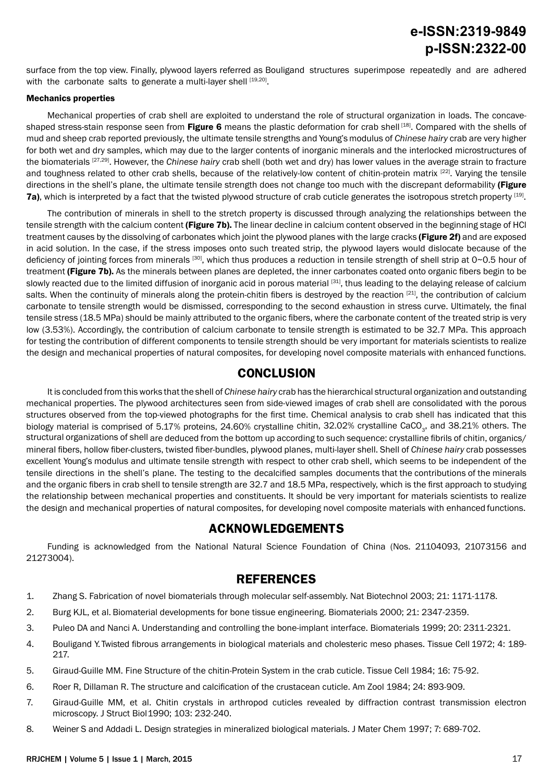surface from the top view. Finally, plywood layers referred as Bouligand structures superimpose repeatedly and are adhered with the carbonate salts to generate a multi-layer shell [19,20].

#### Mechanics properties

Mechanical properties of crab shell are exploited to understand the role of structural organization in loads. The concaveshaped stress-stain response seen from Figure 6 means the plastic deformation for crab shell [18]. Compared with the shells of mud and sheep crab reported previously, the ultimate tensile strengths and Young's modulus of *Chinese hairy* crab are very higher for both wet and dry samples, which may due to the larger contents of inorganic minerals and the interlocked microstructures of the biomaterials [27,29]. However, the *Chinese hairy* crab shell (both wet and dry) has lower values in the average strain to fracture and toughness related to other crab shells, because of the relatively-low content of chitin-protein matrix [22]. Varying the tensile directions in the shell's plane, the ultimate tensile strength does not change too much with the discrepant deformability (Figure 7a), which is interpreted by a fact that the twisted plywood structure of crab cuticle generates the isotropous stretch property [19].

The contribution of minerals in shell to the stretch property is discussed through analyzing the relationships between the tensile strength with the calcium content (Figure 7b). The linear decline in calcium content observed in the beginning stage of HCl treatment causes by the dissolving of carbonates which joint the plywood planes with the large cracks (Figure 2f) and are exposed in acid solution. In the case, if the stress imposes onto such treated strip, the plywood layers would dislocate because of the deficiency of jointing forces from minerals [30], which thus produces a reduction in tensile strength of shell strip at 0~0.5 hour of treatment (Figure 7b). As the minerals between planes are depleted, the inner carbonates coated onto organic fibers begin to be slowly reacted due to the limited diffusion of inorganic acid in porous material [31], thus leading to the delaying release of calcium salts. When the continuity of minerals along the protein-chitin fibers is destroyed by the reaction [21], the contribution of calcium carbonate to tensile strength would be dismissed, corresponding to the second exhaustion in stress curve. Ultimately, the final tensile stress (18.5 MPa) should be mainly attributed to the organic fibers, where the carbonate content of the treated strip is very low (3.53%). Accordingly, the contribution of calcium carbonate to tensile strength is estimated to be 32.7 MPa. This approach for testing the contribution of different components to tensile strength should be very important for materials scientists to realize the design and mechanical properties of natural composites, for developing novel composite materials with enhanced functions.

### **CONCLUSION**

It is concluded from this works that the shell of *Chinese hairy* crab has the hierarchical structural organization and outstanding mechanical properties. The plywood architectures seen from side-viewed images of crab shell are consolidated with the porous structures observed from the top-viewed photographs for the first time. Chemical analysis to crab shell has indicated that this biology material is comprised of 5.17% proteins, 24.60% crystalline chitin, 32.02% crystalline CaCO<sub>3</sub>, and 38.21% others. The structural organizations of shell are deduced from the bottom up according to such sequence: crystalline fibrils of chitin, organics/ mineral fibers, hollow fiber-clusters, twisted fiber-bundles, plywood planes, multi-layer shell. Shell of *Chinese hairy* crab possesses excellent Young's modulus and ultimate tensile strength with respect to other crab shell, which seems to be independent of the tensile directions in the shell's plane. The testing to the decalcified samples documents that the contributions of the minerals and the organic fibers in crab shell to tensile strength are 32.7 and 18.5 MPa, respectively, which is the first approach to studying the relationship between mechanical properties and constituents. It should be very important for materials scientists to realize the design and mechanical properties of natural composites, for developing novel composite materials with enhanced functions.

### **ACKNOWLEDGEMENTS**

Funding is acknowledged from the National Natural Science Foundation of China (Nos. 21104093, 21073156 and 21273004).

### **REFERENCES**

- 1. [Zhang S. Fabrication of novel biomaterials through molecular self-assembly. Nat Biotechnol 2003; 21: 1171-1178.](http://www.ncbi.nlm.nih.gov/pubmed/14520402)
- 2. Burg KJL, et al. [Biomaterial developments for bone tissue engineering. Biomaterials 2000; 21: 2347-2359.](http://www.ncbi.nlm.nih.gov/pubmed/11055282)
- 3. [Puleo DA and Nanci A. Understanding and controlling the bone-implant interface. Biomaterials 1999; 20: 2311-2321.](http://www.ncbi.nlm.nih.gov/pubmed/10614937)
- 4. Bouligand Y. Twisted [fibrous arrangements in biological materials and cholesteric meso phases. Tissue Cell](http://www.sciencedirect.com/science/article/pii/S0040816672800429) 1972; 4: 189- [217.](http://www.sciencedirect.com/science/article/pii/S0040816672800429)
- 5. [Giraud-Guille MM. Fine Structure of the chitin-Protein System in the crab cuticle. Tissue Cell](http://www.ncbi.nlm.nih.gov/pubmed/6538353) 1984; 16: 75-92.
- 6. [Roer R, Dillaman R. The structure and calcification of the crustacean cuticle. Am Zool 1984; 24: 893-909.](http://www.bio.umass.edu/biology/kunkel/pub/lobster/PDFs/Roer_CutCalc-AmZool1984.pdf)
- 7. [Giraud-Guille MM, et al. Chitin crystals in arthropod cuticles revealed by diffraction contrast transmission electron](http://www.sciencedirect.com/science/article/pii/104784779090041A)  [microscopy. J Struct Biol1990; 103: 232-240.](http://www.sciencedirect.com/science/article/pii/104784779090041A)
- 8. [Weiner S and Addadi L. Design strategies in mineralized biological materials. J Mater Chem 1997;](http://pubs.rsc.org/en/Content/ArticleLanding/1997/JM/a604512j#!divAbstract) 7: 689-702.